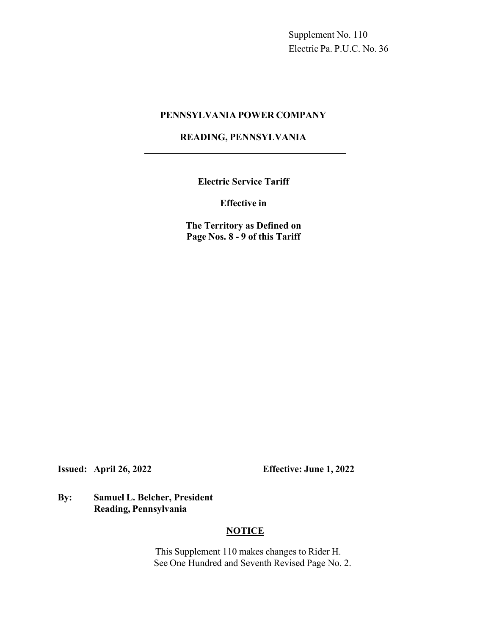Supplement No. 110 Electric Pa. P.U.C. No. 36

#### **PENNSYLVANIA POWER COMPANY**

# **READING, PENNSYLVANIA**

**Electric Service Tariff**

**Effective in**

**The Territory as Defined on Page Nos. 8 - 9 of this Tariff**

**Issued: April 26, 2022 Effective: June 1, 2022** 

# **By: Samuel L. Belcher, President Reading, Pennsylvania**

# **NOTICE**

This Supplement 110 makes changes to Rider H. See One Hundred and Seventh Revised Page No. 2.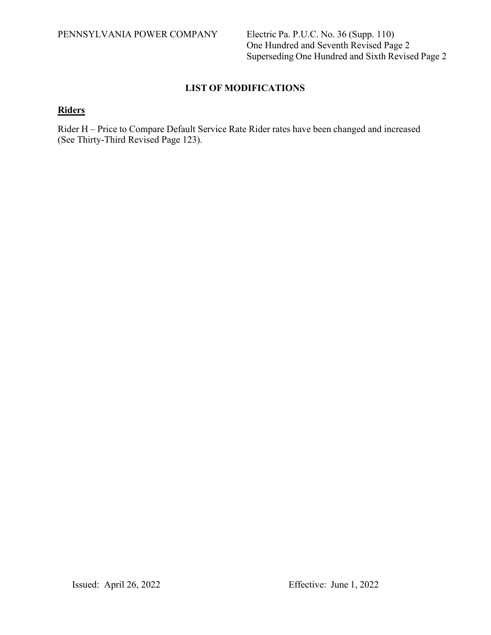One Hundred and Seventh Revised Page 2 Superseding One Hundred and Sixth Revised Page 2

# **LIST OF MODIFICATIONS**

# **Riders**

Rider H – Price to Compare Default Service Rate Rider rates have been changed and increased (See Thirty-Third Revised Page 123).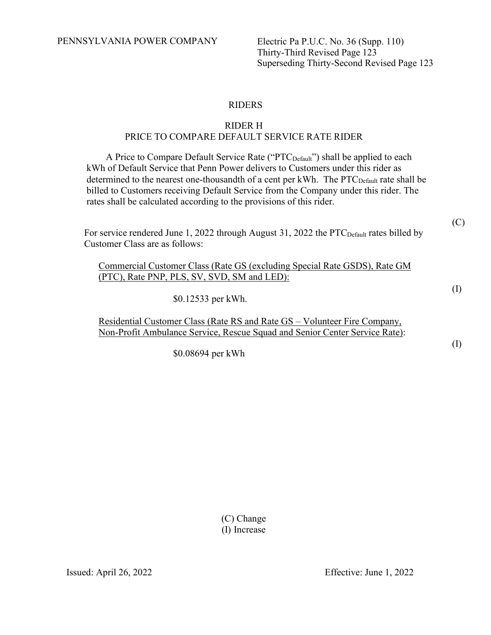PENNSYLVANIA POWER COMPANY Electric Pa P.U.C. No. 36 (Supp. 110)

Thirty-Third Revised Page 123 Superseding Thirty-Second Revised Page 123

## RIDERS

## RIDER H PRICE TO COMPARE DEFAULT SERVICE RATE RIDER

A Price to Compare Default Service Rate ("PTC<sub>Default</sub>") shall be applied to each kWh of Default Service that Penn Power delivers to Customers under this rider as determined to the nearest one-thousandth of a cent per kWh. The  $\text{PTC}_{\text{Default}}$  rate shall be billed to Customers receiving Default Service from the Company under this rider. The rates shall be calculated according to the provisions of this rider.

For service rendered June 1, 2022 through August 31, 2022 the PTC<sub>Default</sub> rates billed by Customer Class are as follows:

Commercial Customer Class (Rate GS (excluding Special Rate GSDS), Rate GM (PTC), Rate PNP, PLS, SV, SVD, SM and LED):

\$0.12533 per kWh.

Residential Customer Class (Rate RS and Rate GS – Volunteer Fire Company, Non-Profit Ambulance Service, Rescue Squad and Senior Center Service Rate):

\$0.08694 per kWh

(C) Change (I) Increase (I)

(C)

(I)